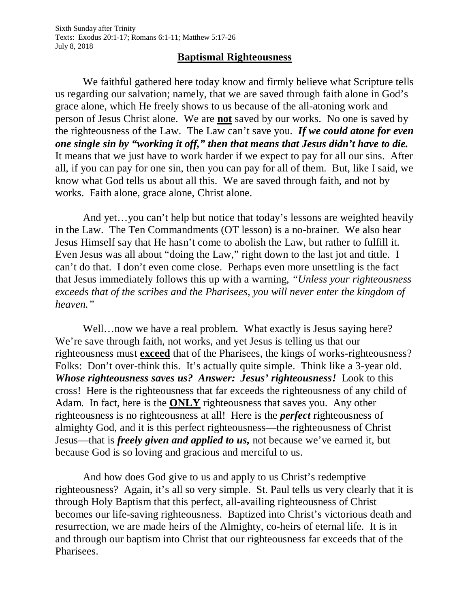## **Baptismal Righteousness**

We faithful gathered here today know and firmly believe what Scripture tells us regarding our salvation; namely, that we are saved through faith alone in God's grace alone, which He freely shows to us because of the all-atoning work and person of Jesus Christ alone. We are **not** saved by our works. No one is saved by the righteousness of the Law. The Law can't save you. *If we could atone for even one single sin by "working it off," then that means that Jesus didn't have to die.* It means that we just have to work harder if we expect to pay for all our sins. After all, if you can pay for one sin, then you can pay for all of them. But, like I said, we know what God tells us about all this. We are saved through faith, and not by works. Faith alone, grace alone, Christ alone.

And yet…you can't help but notice that today's lessons are weighted heavily in the Law. The Ten Commandments (OT lesson) is a no-brainer. We also hear Jesus Himself say that He hasn't come to abolish the Law, but rather to fulfill it. Even Jesus was all about "doing the Law," right down to the last jot and tittle. I can't do that. I don't even come close. Perhaps even more unsettling is the fact that Jesus immediately follows this up with a warning, *"Unless your righteousness exceeds that of the scribes and the Pharisees, you will never enter the kingdom of heaven."*

Well...now we have a real problem. What exactly is Jesus saying here? We're save through faith, not works, and yet Jesus is telling us that our righteousness must **exceed** that of the Pharisees, the kings of works-righteousness? Folks: Don't over-think this. It's actually quite simple. Think like a 3-year old. *Whose righteousness saves us? Answer: Jesus' righteousness!* Look to this cross! Here is the righteousness that far exceeds the righteousness of any child of Adam. In fact, here is the **ONLY** righteousness that saves you. Any other righteousness is no righteousness at all! Here is the *perfect* righteousness of almighty God, and it is this perfect righteousness—the righteousness of Christ Jesus—that is *freely given and applied to us,* not because we've earned it, but because God is so loving and gracious and merciful to us.

And how does God give to us and apply to us Christ's redemptive righteousness? Again, it's all so very simple. St. Paul tells us very clearly that it is through Holy Baptism that this perfect, all-availing righteousness of Christ becomes our life-saving righteousness. Baptized into Christ's victorious death and resurrection, we are made heirs of the Almighty, co-heirs of eternal life. It is in and through our baptism into Christ that our righteousness far exceeds that of the Pharisees.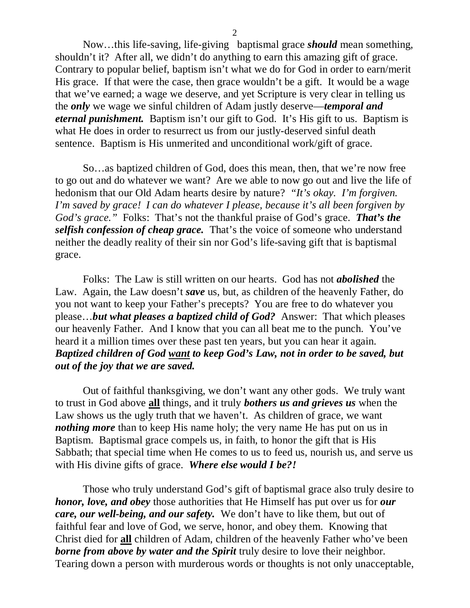Now…this life-saving, life-giving baptismal grace *should* mean something, shouldn't it? After all, we didn't do anything to earn this amazing gift of grace. Contrary to popular belief, baptism isn't what we do for God in order to earn/merit His grace. If that were the case, then grace wouldn't be a gift. It would be a wage that we've earned; a wage we deserve, and yet Scripture is very clear in telling us the *only* we wage we sinful children of Adam justly deserve—*temporal and eternal punishment.* Baptism isn't our gift to God. It's His gift to us. Baptism is what He does in order to resurrect us from our justly-deserved sinful death sentence. Baptism is His unmerited and unconditional work/gift of grace.

So…as baptized children of God, does this mean, then, that we're now free to go out and do whatever we want? Are we able to now go out and live the life of hedonism that our Old Adam hearts desire by nature? *"It's okay. I'm forgiven. I'm saved by grace! I can do whatever I please, because it's all been forgiven by God's grace."* Folks: That's not the thankful praise of God's grace. *That's the selfish confession of cheap grace.* That's the voice of someone who understand neither the deadly reality of their sin nor God's life-saving gift that is baptismal grace.

Folks: The Law is still written on our hearts. God has not *abolished* the Law. Again, the Law doesn't *save* us, but, as children of the heavenly Father, do you not want to keep your Father's precepts? You are free to do whatever you please…*but what pleases a baptized child of God?* Answer: That which pleases our heavenly Father. And I know that you can all beat me to the punch. You've heard it a million times over these past ten years, but you can hear it again. *Baptized children of God want to keep God's Law, not in order to be saved, but out of the joy that we are saved.*

Out of faithful thanksgiving, we don't want any other gods. We truly want to trust in God above **all** things, and it truly *bothers us and grieves us* when the Law shows us the ugly truth that we haven't. As children of grace, we want *nothing more* than to keep His name holy; the very name He has put on us in Baptism. Baptismal grace compels us, in faith, to honor the gift that is His Sabbath; that special time when He comes to us to feed us, nourish us, and serve us with His divine gifts of grace. *Where else would I be?!*

Those who truly understand God's gift of baptismal grace also truly desire to *honor, love, and obey* those authorities that He Himself has put over us for *our care, our well-being, and our safety.* We don't have to like them, but out of faithful fear and love of God, we serve, honor, and obey them. Knowing that Christ died for **all** children of Adam, children of the heavenly Father who've been *borne from above by water and the Spirit* truly desire to love their neighbor. Tearing down a person with murderous words or thoughts is not only unacceptable,